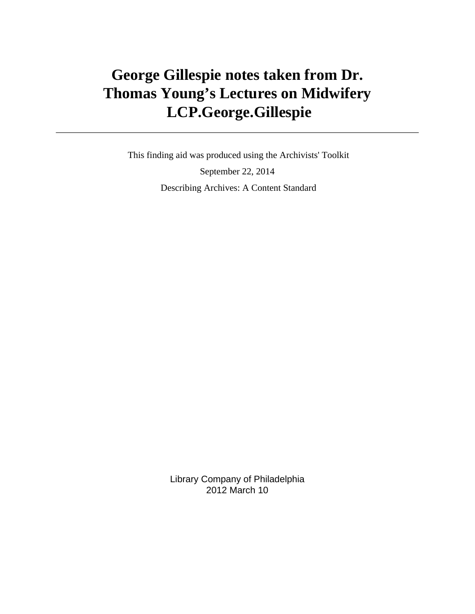# **George Gillespie notes taken from Dr. Thomas Young's Lectures on Midwifery LCP.George.Gillespie**

 This finding aid was produced using the Archivists' Toolkit September 22, 2014 Describing Archives: A Content Standard

> Library Company of Philadelphia 2012 March 10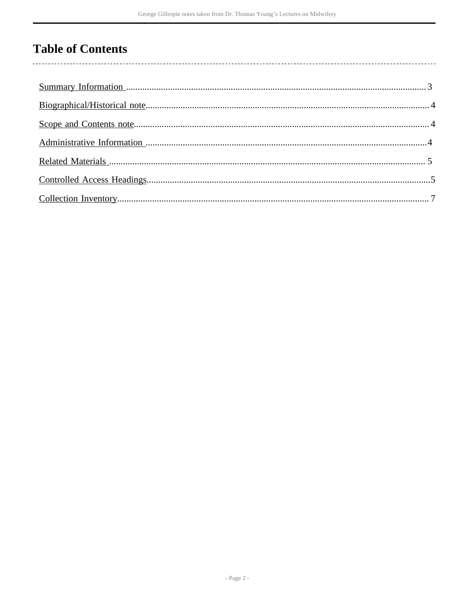# **Table of Contents**

 $\overline{\phantom{a}}$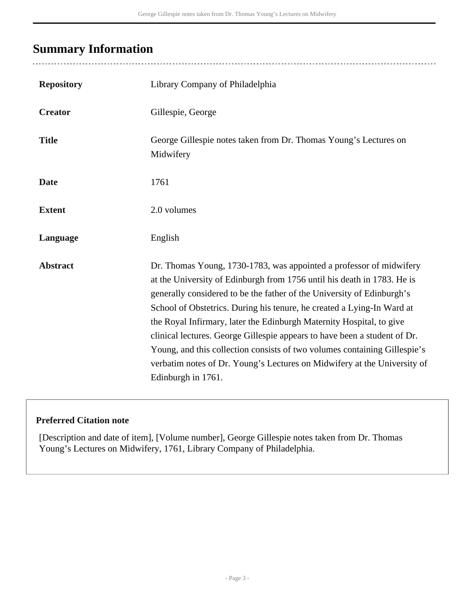# <span id="page-2-0"></span>**Summary Information**

| <b>Repository</b> | Library Company of Philadelphia                                                                                                                                                                                                                                                                                                                                                                                                                                                                                                                                                                                                        |
|-------------------|----------------------------------------------------------------------------------------------------------------------------------------------------------------------------------------------------------------------------------------------------------------------------------------------------------------------------------------------------------------------------------------------------------------------------------------------------------------------------------------------------------------------------------------------------------------------------------------------------------------------------------------|
| <b>Creator</b>    | Gillespie, George                                                                                                                                                                                                                                                                                                                                                                                                                                                                                                                                                                                                                      |
| <b>Title</b>      | George Gillespie notes taken from Dr. Thomas Young's Lectures on<br>Midwifery                                                                                                                                                                                                                                                                                                                                                                                                                                                                                                                                                          |
| <b>Date</b>       | 1761                                                                                                                                                                                                                                                                                                                                                                                                                                                                                                                                                                                                                                   |
| <b>Extent</b>     | 2.0 volumes                                                                                                                                                                                                                                                                                                                                                                                                                                                                                                                                                                                                                            |
| Language          | English                                                                                                                                                                                                                                                                                                                                                                                                                                                                                                                                                                                                                                |
| <b>Abstract</b>   | Dr. Thomas Young, 1730-1783, was appointed a professor of midwifery<br>at the University of Edinburgh from 1756 until his death in 1783. He is<br>generally considered to be the father of the University of Edinburgh's<br>School of Obstetrics. During his tenure, he created a Lying-In Ward at<br>the Royal Infirmary, later the Edinburgh Maternity Hospital, to give<br>clinical lectures. George Gillespie appears to have been a student of Dr.<br>Young, and this collection consists of two volumes containing Gillespie's<br>verbatim notes of Dr. Young's Lectures on Midwifery at the University of<br>Edinburgh in 1761. |

### **Preferred Citation note**

[Description and date of item], [Volume number], George Gillespie notes taken from Dr. Thomas Young's Lectures on Midwifery, 1761, Library Company of Philadelphia.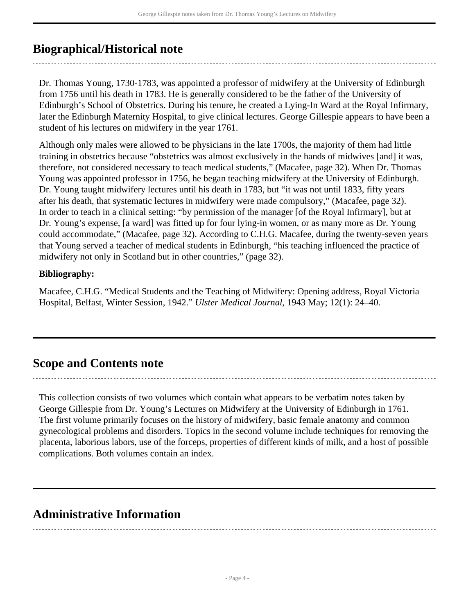# <span id="page-3-0"></span>**Biographical/Historical note**

Dr. Thomas Young, 1730-1783, was appointed a professor of midwifery at the University of Edinburgh from 1756 until his death in 1783. He is generally considered to be the father of the University of Edinburgh's School of Obstetrics. During his tenure, he created a Lying-In Ward at the Royal Infirmary, later the Edinburgh Maternity Hospital, to give clinical lectures. George Gillespie appears to have been a student of his lectures on midwifery in the year 1761.

Although only males were allowed to be physicians in the late 1700s, the majority of them had little training in obstetrics because "obstetrics was almost exclusively in the hands of midwives [and] it was, therefore, not considered necessary to teach medical students," (Macafee, page 32). When Dr. Thomas Young was appointed professor in 1756, he began teaching midwifery at the University of Edinburgh. Dr. Young taught midwifery lectures until his death in 1783, but "it was not until 1833, fifty years after his death, that systematic lectures in midwifery were made compulsory," (Macafee, page 32). In order to teach in a clinical setting: "by permission of the manager [of the Royal Infirmary], but at Dr. Young's expense, [a ward] was fitted up for four lying-in women, or as many more as Dr. Young could accommodate," (Macafee, page 32). According to C.H.G. Macafee, during the twenty-seven years that Young served a teacher of medical students in Edinburgh, "his teaching influenced the practice of midwifery not only in Scotland but in other countries," (page 32).

### **Bibliography:**

Macafee, C.H.G. "Medical Students and the Teaching of Midwifery: Opening address, Royal Victoria Hospital, Belfast, Winter Session, 1942." *Ulster Medical Journal*, 1943 May; 12(1): 24–40.

## <span id="page-3-1"></span>**Scope and Contents note**

This collection consists of two volumes which contain what appears to be verbatim notes taken by George Gillespie from Dr. Young's Lectures on Midwifery at the University of Edinburgh in 1761. The first volume primarily focuses on the history of midwifery, basic female anatomy and common gynecological problems and disorders. Topics in the second volume include techniques for removing the placenta, laborious labors, use of the forceps, properties of different kinds of milk, and a host of possible complications. Both volumes contain an index.

## <span id="page-3-2"></span>**Administrative Information**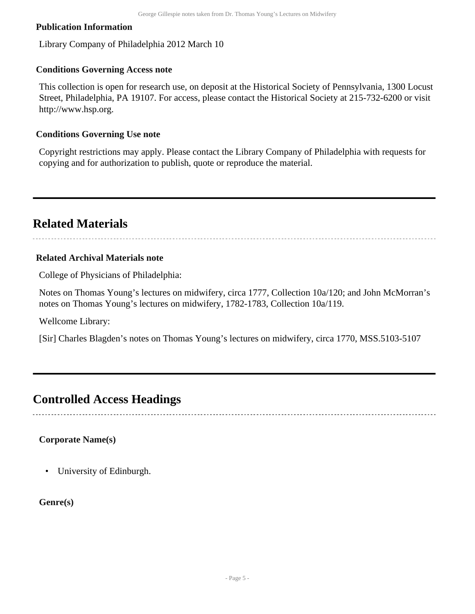#### **Publication Information**

Library Company of Philadelphia 2012 March 10

#### **Conditions Governing Access note**

This collection is open for research use, on deposit at the Historical Society of Pennsylvania, 1300 Locust Street, Philadelphia, PA 19107. For access, please contact the Historical Society at 215-732-6200 or visit http://www.hsp.org.

#### **Conditions Governing Use note**

Copyright restrictions may apply. Please contact the Library Company of Philadelphia with requests for copying and for authorization to publish, quote or reproduce the material.

# <span id="page-4-0"></span>**Related Materials**

#### **Related Archival Materials note**

College of Physicians of Philadelphia:

Notes on Thomas Young's lectures on midwifery, circa 1777, Collection 10a/120; and John McMorran's notes on Thomas Young's lectures on midwifery, 1782-1783, Collection 10a/119.

Wellcome Library:

[Sir] Charles Blagden's notes on Thomas Young's lectures on midwifery, circa 1770, MSS.5103-5107

### <span id="page-4-1"></span>**Controlled Access Headings**

#### **Corporate Name(s)**

• University of Edinburgh.

#### **Genre(s)**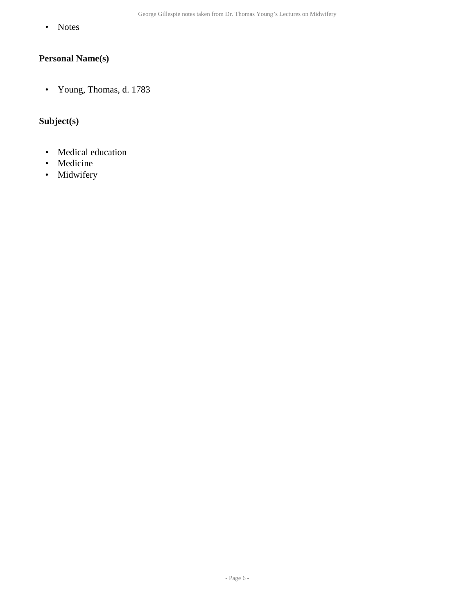• Notes

### **Personal Name(s)**

• Young, Thomas, d. 1783

### **Subject(s)**

- Medical education
- Medicine
- Midwifery